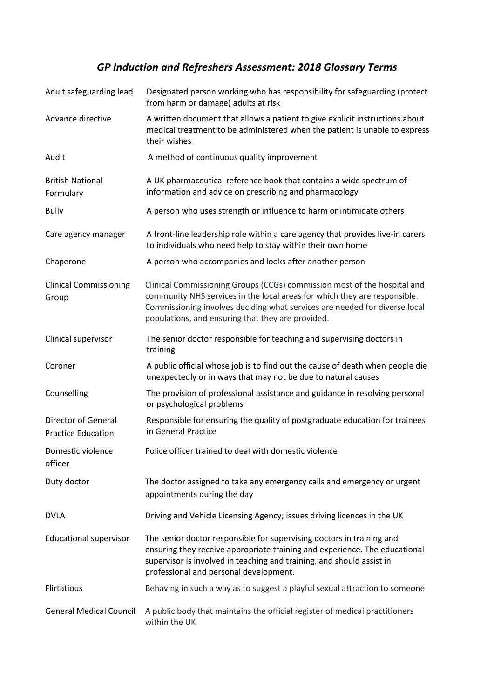## *GP Induction and Refreshers Assessment: 2018 Glossary Terms*

| Adult safeguarding lead                                 | Designated person working who has responsibility for safeguarding (protect<br>from harm or damage) adults at risk                                                                                                                                                                        |
|---------------------------------------------------------|------------------------------------------------------------------------------------------------------------------------------------------------------------------------------------------------------------------------------------------------------------------------------------------|
| Advance directive                                       | A written document that allows a patient to give explicit instructions about<br>medical treatment to be administered when the patient is unable to express<br>their wishes                                                                                                               |
| Audit                                                   | A method of continuous quality improvement                                                                                                                                                                                                                                               |
| <b>British National</b><br>Formulary                    | A UK pharmaceutical reference book that contains a wide spectrum of<br>information and advice on prescribing and pharmacology                                                                                                                                                            |
| <b>Bully</b>                                            | A person who uses strength or influence to harm or intimidate others                                                                                                                                                                                                                     |
| Care agency manager                                     | A front-line leadership role within a care agency that provides live-in carers<br>to individuals who need help to stay within their own home                                                                                                                                             |
| Chaperone                                               | A person who accompanies and looks after another person                                                                                                                                                                                                                                  |
| <b>Clinical Commissioning</b><br>Group                  | Clinical Commissioning Groups (CCGs) commission most of the hospital and<br>community NHS services in the local areas for which they are responsible.<br>Commissioning involves deciding what services are needed for diverse local<br>populations, and ensuring that they are provided. |
| Clinical supervisor                                     | The senior doctor responsible for teaching and supervising doctors in<br>training                                                                                                                                                                                                        |
| Coroner                                                 | A public official whose job is to find out the cause of death when people die<br>unexpectedly or in ways that may not be due to natural causes                                                                                                                                           |
| Counselling                                             | The provision of professional assistance and guidance in resolving personal<br>or psychological problems                                                                                                                                                                                 |
| <b>Director of General</b><br><b>Practice Education</b> | Responsible for ensuring the quality of postgraduate education for trainees<br>in General Practice                                                                                                                                                                                       |
| Domestic violence<br>officer                            | Police officer trained to deal with domestic violence                                                                                                                                                                                                                                    |
| Duty doctor                                             | The doctor assigned to take any emergency calls and emergency or urgent<br>appointments during the day                                                                                                                                                                                   |
| <b>DVLA</b>                                             | Driving and Vehicle Licensing Agency; issues driving licences in the UK                                                                                                                                                                                                                  |
| <b>Educational supervisor</b>                           | The senior doctor responsible for supervising doctors in training and<br>ensuring they receive appropriate training and experience. The educational<br>supervisor is involved in teaching and training, and should assist in<br>professional and personal development.                   |
| Flirtatious                                             | Behaving in such a way as to suggest a playful sexual attraction to someone                                                                                                                                                                                                              |
| <b>General Medical Council</b>                          | A public body that maintains the official register of medical practitioners<br>within the UK                                                                                                                                                                                             |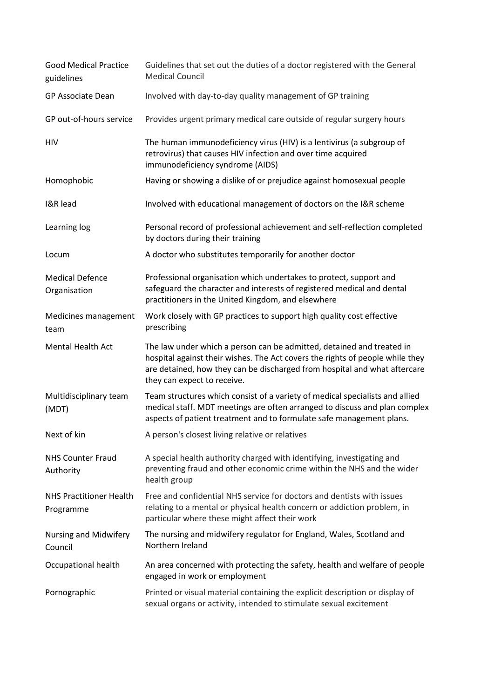| <b>Good Medical Practice</b><br>guidelines  | Guidelines that set out the duties of a doctor registered with the General<br><b>Medical Council</b>                                                                                                                                                               |
|---------------------------------------------|--------------------------------------------------------------------------------------------------------------------------------------------------------------------------------------------------------------------------------------------------------------------|
| <b>GP Associate Dean</b>                    | Involved with day-to-day quality management of GP training                                                                                                                                                                                                         |
| GP out-of-hours service                     | Provides urgent primary medical care outside of regular surgery hours                                                                                                                                                                                              |
| HIV                                         | The human immunodeficiency virus (HIV) is a lentivirus (a subgroup of<br>retrovirus) that causes HIV infection and over time acquired<br>immunodeficiency syndrome (AIDS)                                                                                          |
| Homophobic                                  | Having or showing a dislike of or prejudice against homosexual people                                                                                                                                                                                              |
| <b>I&amp;R</b> lead                         | Involved with educational management of doctors on the I&R scheme                                                                                                                                                                                                  |
| Learning log                                | Personal record of professional achievement and self-reflection completed<br>by doctors during their training                                                                                                                                                      |
| Locum                                       | A doctor who substitutes temporarily for another doctor                                                                                                                                                                                                            |
| <b>Medical Defence</b><br>Organisation      | Professional organisation which undertakes to protect, support and<br>safeguard the character and interests of registered medical and dental<br>practitioners in the United Kingdom, and elsewhere                                                                 |
| Medicines management<br>team                | Work closely with GP practices to support high quality cost effective<br>prescribing                                                                                                                                                                               |
| <b>Mental Health Act</b>                    | The law under which a person can be admitted, detained and treated in<br>hospital against their wishes. The Act covers the rights of people while they<br>are detained, how they can be discharged from hospital and what aftercare<br>they can expect to receive. |
| Multidisciplinary team<br>(MDT)             | Team structures which consist of a variety of medical specialists and allied<br>medical staff. MDT meetings are often arranged to discuss and plan complex<br>aspects of patient treatment and to formulate safe management plans.                                 |
| Next of kin                                 | A person's closest living relative or relatives                                                                                                                                                                                                                    |
| <b>NHS Counter Fraud</b><br>Authority       | A special health authority charged with identifying, investigating and<br>preventing fraud and other economic crime within the NHS and the wider<br>health group                                                                                                   |
| <b>NHS Practitioner Health</b><br>Programme | Free and confidential NHS service for doctors and dentists with issues<br>relating to a mental or physical health concern or addiction problem, in<br>particular where these might affect their work                                                               |
| Nursing and Midwifery<br>Council            | The nursing and midwifery regulator for England, Wales, Scotland and<br>Northern Ireland                                                                                                                                                                           |
| Occupational health                         | An area concerned with protecting the safety, health and welfare of people<br>engaged in work or employment                                                                                                                                                        |
| Pornographic                                | Printed or visual material containing the explicit description or display of<br>sexual organs or activity, intended to stimulate sexual excitement                                                                                                                 |